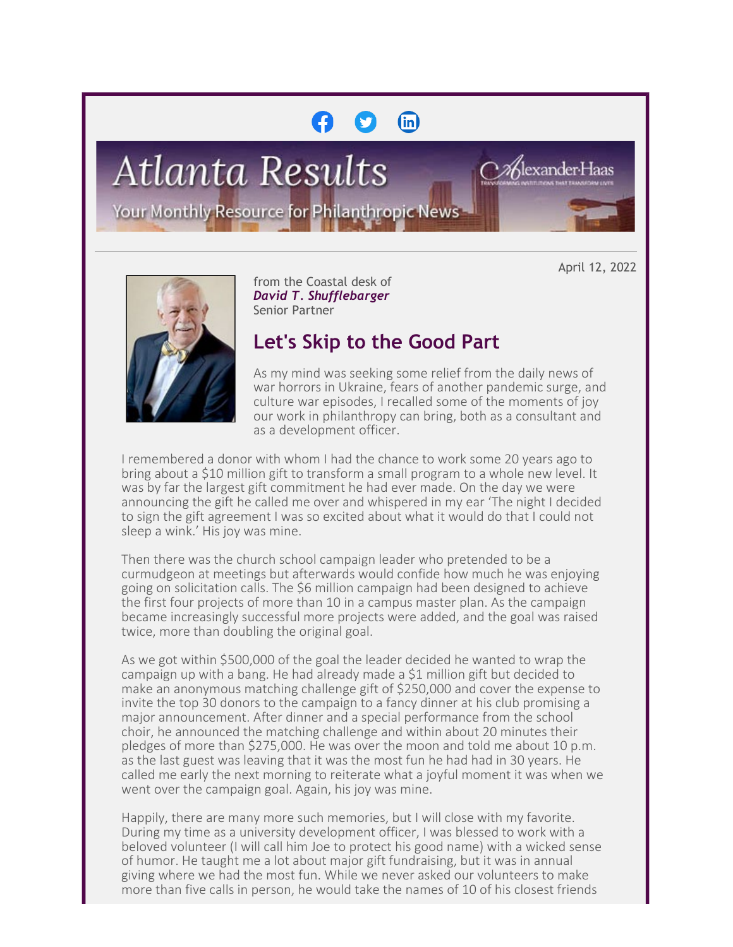# $\binom{m}{n}$

**Atlanta Results** 

Your Monthly Resource for Philanthropic News

April 12, 2022

%lexander∙Haas



from the Coastal desk of *David T. Shufflebarger* Senior Partner

# **Let's Skip to the Good Part**

As my mind was seeking some relief from the daily news of war horrors in Ukraine, fears of another pandemic surge, and culture war episodes, I recalled some of the moments of joy our work in philanthropy can bring, both as a consultant and as a development officer.

I remembered a donor with whom I had the chance to work some 20 years ago to bring about a \$10 million gift to transform a small program to a whole new level. It was by far the largest gift commitment he had ever made. On the day we were announcing the gift he called me over and whispered in my ear 'The night I decided to sign the gift agreement I was so excited about what it would do that I could not sleep a wink.' His joy was mine.

Then there was the church school campaign leader who pretended to be a curmudgeon at meetings but afterwards would confide how much he was enjoying going on solicitation calls. The \$6 million campaign had been designed to achieve the first four projects of more than 10 in a campus master plan. As the campaign became increasingly successful more projects were added, and the goal was raised twice, more than doubling the original goal.

As we got within \$500,000 of the goal the leader decided he wanted to wrap the campaign up with a bang. He had already made a \$1 million gift but decided to make an anonymous matching challenge gift of \$250,000 and cover the expense to invite the top 30 donors to the campaign to a fancy dinner at his club promising a major announcement. After dinner and a special performance from the school choir, he announced the matching challenge and within about 20 minutes their pledges of more than \$275,000. He was over the moon and told me about 10 p.m. as the last guest was leaving that it was the most fun he had had in 30 years. He called me early the next morning to reiterate what a joyful moment it was when we went over the campaign goal. Again, his joy was mine.

Happily, there are many more such memories, but I will close with my favorite. During my time as a university development officer, I was blessed to work with a beloved volunteer (I will call him Joe to protect his good name) with a wicked sense of humor. He taught me a lot about major gift fundraising, but it was in annual giving where we had the most fun. While we never asked our volunteers to make more than five calls in person, he would take the names of 10 of his closest friends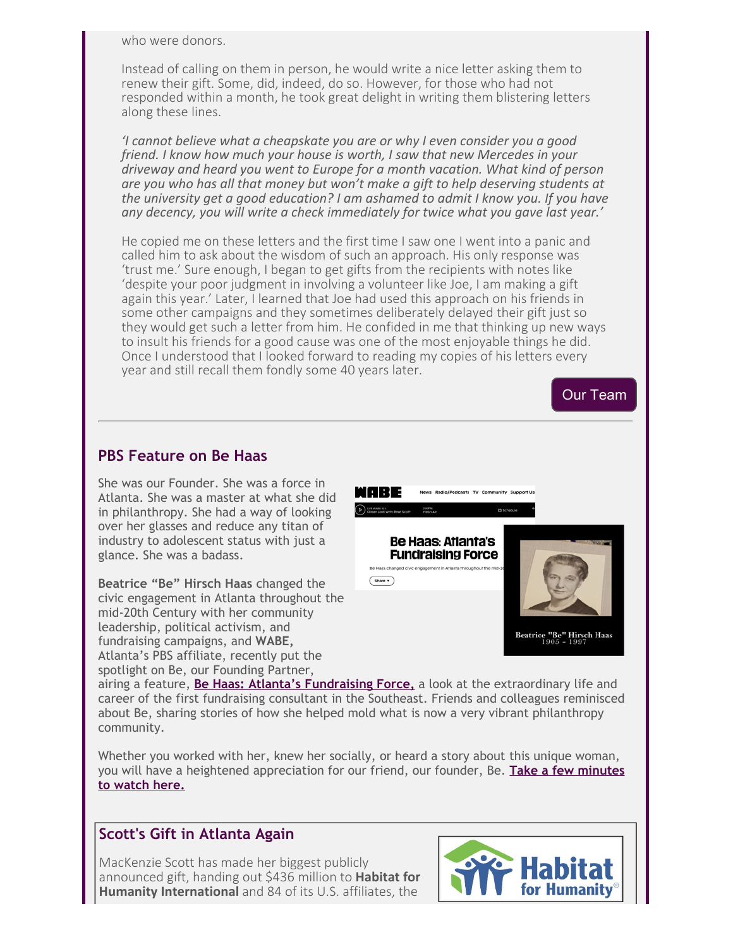who were donors.

Instead of calling on them in person, he would write a nice letter asking them to renew their gift. Some, did, indeed, do so. However, for those who had not responded within a month, he took great delight in writing them blistering letters along these lines.

*'I cannot believe what a cheapskate you are or why I even consider you a good friend. I know how much your house is worth, I saw that new Mercedes in your driveway and heard you went to Europe for a month vacation. What kind of person are you who has all that money but won't make a gift to help deserving students at the university get a good education? I am ashamed to admit I know you. If you have any decency, you will write a check immediately for twice what you gave last year.'*

He copied me on these letters and the first time I saw one I went into a panic and called him to ask about the wisdom of such an approach. His only response was 'trust me.' Sure enough, I began to get gifts from the recipients with notes like 'despite your poor judgment in involving a volunteer like Joe, I am making a gift again this year.' Later, I learned that Joe had used this approach on his friends in some other campaigns and they sometimes deliberately delayed their gift just so they would get such a letter from him. He confided in me that thinking up new ways to insult his friends for a good cause was one of the most enjoyable things he did. Once I understood that I looked forward to reading my copies of his letters every year and still recall them fondly some 40 years later.



airing a feature, **[Be Haas: Atlanta's Fundraising Force,](https://cl.exct.net/?qs=0921b2a869337999101c37d772f4a374d9523a31be1a8dae9dbf1fc8f1e5481db3400420f728e5b36ddd3bab5cd33e9c)** a look at the extraordinary life and career of the first fundraising consultant in the Southeast. Friends and colleagues reminisced about Be, sharing stories of how she helped mold what is now a very vibrant philanthropy community.

Whether you worked with her, knew her socially, or heard a story about this unique woman, you will have a heightened appreciation for our friend, our founder, Be. **[Take a few minutes](https://cl.exct.net/?qs=0921b2a8693379991dc84b1d884e53b0d3f0ca38405fa5508b4dc143e685c5bd4b89585e3f6794c2a5410a4dd1efbd6d) [to watch here.](https://cl.exct.net/?qs=0921b2a8693379991dc84b1d884e53b0d3f0ca38405fa5508b4dc143e685c5bd4b89585e3f6794c2a5410a4dd1efbd6d)**

# **Scott's Gift in Atlanta Again**

MacKenzie Scott has made her biggest publicly announced gift, handing out \$436 million to **Habitat for Humanity International** and 84 of its U.S. affiliates, the

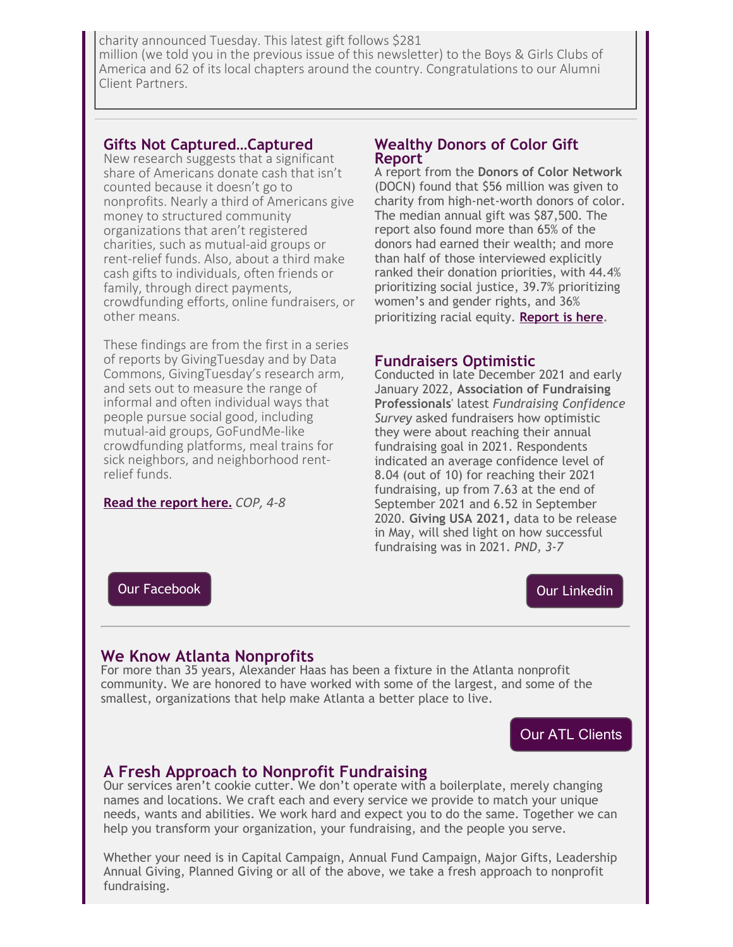charity announced Tuesday. This latest gift follows \$281 million (we told you in the previous issue of this newsletter) to the Boys & Girls Clubs of America and 62 of its local chapters around the country. Congratulations to our Alumni Client Partners.

### **Gifts Not Captured…Captured**

New research suggests that a significant share of Americans donate cash that isn't counted because it doesn't go to nonprofits. Nearly a third of Americans give money to structured community organizations that aren't registered charities, such as mutual-aid groups or rent-relief funds. Also, about a third make cash gifts to individuals, often friends or family, through direct payments, crowdfunding efforts, online fundraisers, or other means.

These findings are from the first in a series of reports by GivingTuesday and by Data Commons, GivingTuesday's research arm, and sets out to measure the range of informal and often individual ways that people pursue social good, including mutual-aid groups, GoFundMe-like crowdfunding platforms, meal trains for sick neighbors, and neighborhood rentrelief funds.

#### **[Read the report here.](https://cl.exct.net/?qs=0921b2a869337999e16ccb8d3184f5d18a68ec2a4d14023ab1005bbdf79bd2bf69434bfc537e3249cfaddddd57461072)** *COP, 4-8*

#### **Wealthy Donors of Color Gift Report**

A report from the **Donors of Color Network** (DOCN) found that \$56 million was given to charity from high-net-worth donors of color. The median annual gift was \$87,500. The report also found more than 65% of the donors had earned their wealth; and more than half of those interviewed explicitly ranked their donation priorities, with 44.4% prioritizing social justice, 39.7% prioritizing women's and gender rights, and 36% prioritizing racial equity. **[Report is here](https://cl.exct.net/?qs=0921b2a869337999e110370c0fdbe52fe6e3db9ec8dacddaf8a7f33fa87679f25b39660654624f8bd79f957189b353ce).**

#### **Fundraisers Optimistic**

Conducted in late December 2021 and early January 2022, **Association of Fundraising Professionals**' latest *Fundraising Confidence Survey* asked fundraisers how optimistic they were about reaching their annual fundraising goal in 2021. Respondents indicated an average confidence level of 8.04 (out of 10) for reaching their 2021 fundraising, up from 7.63 at the end of September 2021 and 6.52 in September 2020. **Giving USA 2021,** data to be release in May, will shed light on how successful fundraising was in 2021. *PND, 3-7*

[Our Facebook](https://cl.exct.net/?qs=0921b2a8693379997a3516fa9cd974b21c0f9a32445e5e608f41d7ba3d9e7b469fd6afa96fb449429f411fc3c87971d4)

# [Our Linkedin](https://cl.exct.net/?qs=0921b2a869337999b11ada2669b11f494c6ea00bbbe1230889370eb77ff998951922586eb54ab0160e07113ab922ae30)

# **We Know Atlanta Nonprofits**

For more than 35 years, Alexander Haas has been a fixture in the Atlanta nonprofit community. We are honored to have worked with some of the largest, and some of the smallest, organizations that help make Atlanta a better place to live.

# [Our ATL Clients](https://cl.exct.net/?qs=0921b2a869337999e610138a02a13956dcd08305c00a964c3b30ddedc5b43b10c4a479fd50e570d972ccceb2776cb099)

# **A Fresh Approach to Nonprofit Fundraising**

Our services aren't cookie cutter. We don't operate with a boilerplate, merely changing names and locations. We craft each and every service we provide to match your unique needs, wants and abilities. We work hard and expect you to do the same. Together we can help you transform your organization, your fundraising, and the people you serve.

Whether your need is in Capital Campaign, Annual Fund Campaign, Major Gifts, Leadership Annual Giving, Planned Giving or all of the above, we take a fresh approach to nonprofit fundraising.